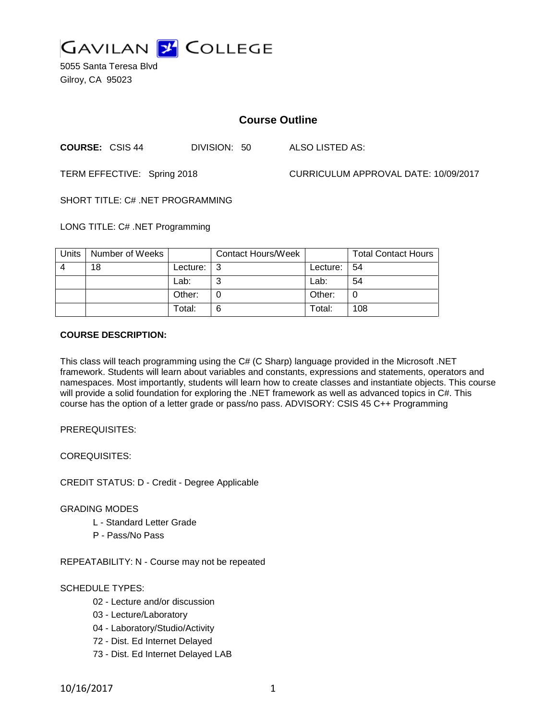

5055 Santa Teresa Blvd Gilroy, CA 95023

# **Course Outline**

**COURSE:** CSIS 44 DIVISION: 50 ALSO LISTED AS:

TERM EFFECTIVE: Spring 2018 CURRICULUM APPROVAL DATE: 10/09/2017

SHORT TITLE: C# .NET PROGRAMMING

LONG TITLE: C# .NET Programming

| Units | Number of Weeks |          | <b>Contact Hours/Week</b> |                 | <b>Total Contact Hours</b> |
|-------|-----------------|----------|---------------------------|-----------------|----------------------------|
|       | 18              | Lecture: | ູ                         | Lecture: $ 54 $ |                            |
|       |                 | Lab:     | ⌒                         | Lab:            | 54                         |
|       |                 | Other:   |                           | Other:          |                            |
|       |                 | Total:   | 6                         | Total:          | 108                        |

#### **COURSE DESCRIPTION:**

This class will teach programming using the C# (C Sharp) language provided in the Microsoft .NET framework. Students will learn about variables and constants, expressions and statements, operators and namespaces. Most importantly, students will learn how to create classes and instantiate objects. This course will provide a solid foundation for exploring the .NET framework as well as advanced topics in C#. This course has the option of a letter grade or pass/no pass. ADVISORY: CSIS 45 C++ Programming

PREREQUISITES:

COREQUISITES:

CREDIT STATUS: D - Credit - Degree Applicable

GRADING MODES

- L Standard Letter Grade
- P Pass/No Pass

REPEATABILITY: N - Course may not be repeated

#### SCHEDULE TYPES:

- 02 Lecture and/or discussion
- 03 Lecture/Laboratory
- 04 Laboratory/Studio/Activity
- 72 Dist. Ed Internet Delayed
- 73 Dist. Ed Internet Delayed LAB

10/16/2017 1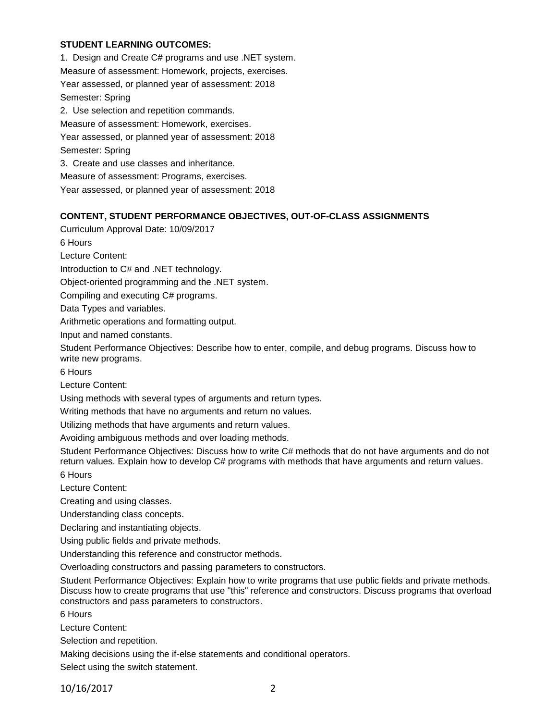#### **STUDENT LEARNING OUTCOMES:**

1. Design and Create C# programs and use .NET system. Measure of assessment: Homework, projects, exercises. Year assessed, or planned year of assessment: 2018 Semester: Spring 2. Use selection and repetition commands. Measure of assessment: Homework, exercises. Year assessed, or planned year of assessment: 2018 Semester: Spring 3. Create and use classes and inheritance. Measure of assessment: Programs, exercises. Year assessed, or planned year of assessment: 2018

#### **CONTENT, STUDENT PERFORMANCE OBJECTIVES, OUT-OF-CLASS ASSIGNMENTS**

Curriculum Approval Date: 10/09/2017

6 Hours

Lecture Content:

Introduction to C# and .NET technology.

Object-oriented programming and the .NET system.

Compiling and executing C# programs.

Data Types and variables.

Arithmetic operations and formatting output.

Input and named constants.

Student Performance Objectives: Describe how to enter, compile, and debug programs. Discuss how to write new programs.

6 Hours

Lecture Content:

Using methods with several types of arguments and return types.

Writing methods that have no arguments and return no values.

Utilizing methods that have arguments and return values.

Avoiding ambiguous methods and over loading methods.

Student Performance Objectives: Discuss how to write C# methods that do not have arguments and do not return values. Explain how to develop C# programs with methods that have arguments and return values.

6 Hours

Lecture Content:

Creating and using classes.

Understanding class concepts.

Declaring and instantiating objects.

Using public fields and private methods.

Understanding this reference and constructor methods.

Overloading constructors and passing parameters to constructors.

Student Performance Objectives: Explain how to write programs that use public fields and private methods. Discuss how to create programs that use "this" reference and constructors. Discuss programs that overload constructors and pass parameters to constructors.

6 Hours

Lecture Content:

Selection and repetition.

Making decisions using the if-else statements and conditional operators.

Select using the switch statement.

10/16/2017 2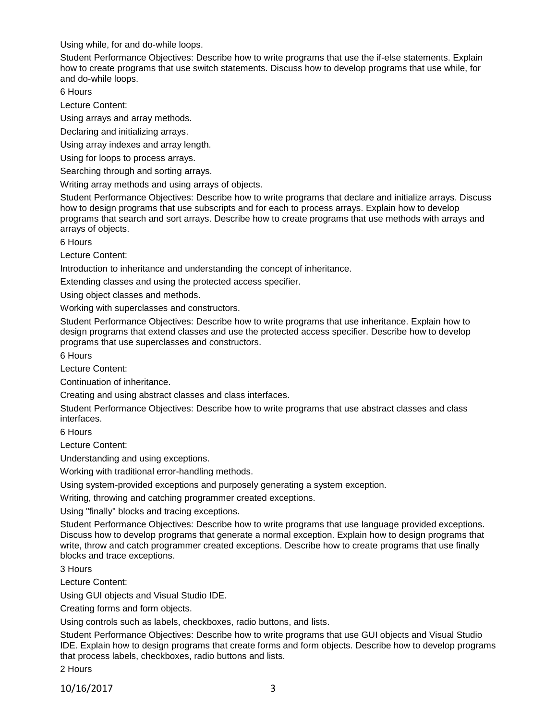Using while, for and do-while loops.

Student Performance Objectives: Describe how to write programs that use the if-else statements. Explain how to create programs that use switch statements. Discuss how to develop programs that use while, for and do-while loops.

6 Hours

Lecture Content:

Using arrays and array methods.

Declaring and initializing arrays.

Using array indexes and array length.

Using for loops to process arrays.

Searching through and sorting arrays.

Writing array methods and using arrays of objects.

Student Performance Objectives: Describe how to write programs that declare and initialize arrays. Discuss how to design programs that use subscripts and for each to process arrays. Explain how to develop programs that search and sort arrays. Describe how to create programs that use methods with arrays and arrays of objects.

6 Hours

Lecture Content:

Introduction to inheritance and understanding the concept of inheritance.

Extending classes and using the protected access specifier.

Using object classes and methods.

Working with superclasses and constructors.

Student Performance Objectives: Describe how to write programs that use inheritance. Explain how to design programs that extend classes and use the protected access specifier. Describe how to develop programs that use superclasses and constructors.

6 Hours

Lecture Content:

Continuation of inheritance.

Creating and using abstract classes and class interfaces.

Student Performance Objectives: Describe how to write programs that use abstract classes and class interfaces.

6 Hours

Lecture Content:

Understanding and using exceptions.

Working with traditional error-handling methods.

Using system-provided exceptions and purposely generating a system exception.

Writing, throwing and catching programmer created exceptions.

Using "finally" blocks and tracing exceptions.

Student Performance Objectives: Describe how to write programs that use language provided exceptions. Discuss how to develop programs that generate a normal exception. Explain how to design programs that write, throw and catch programmer created exceptions. Describe how to create programs that use finally blocks and trace exceptions.

3 Hours

Lecture Content:

Using GUI objects and Visual Studio IDE.

Creating forms and form objects.

Using controls such as labels, checkboxes, radio buttons, and lists.

Student Performance Objectives: Describe how to write programs that use GUI objects and Visual Studio IDE. Explain how to design programs that create forms and form objects. Describe how to develop programs that process labels, checkboxes, radio buttons and lists.

2 Hours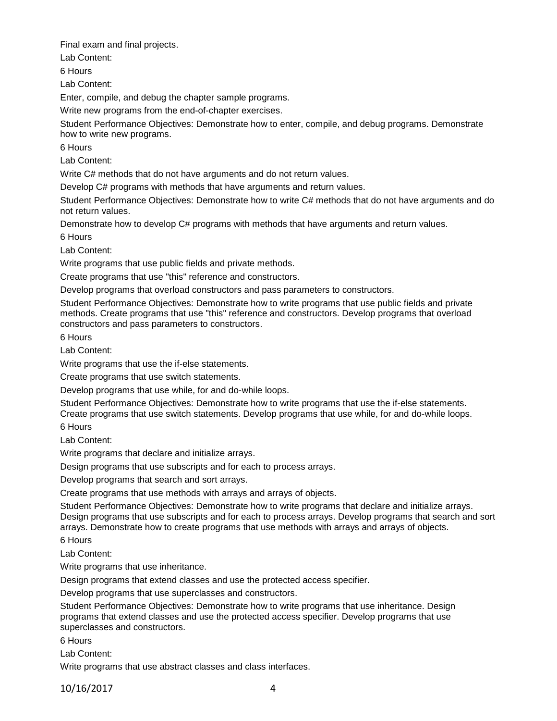Final exam and final projects.

Lab Content:

6 Hours

Lab Content:

Enter, compile, and debug the chapter sample programs.

Write new programs from the end-of-chapter exercises.

Student Performance Objectives: Demonstrate how to enter, compile, and debug programs. Demonstrate how to write new programs.

6 Hours

Lab Content:

Write C# methods that do not have arguments and do not return values.

Develop C# programs with methods that have arguments and return values.

Student Performance Objectives: Demonstrate how to write C# methods that do not have arguments and do not return values.

Demonstrate how to develop C# programs with methods that have arguments and return values.

6 Hours

Lab Content:

Write programs that use public fields and private methods.

Create programs that use "this" reference and constructors.

Develop programs that overload constructors and pass parameters to constructors.

Student Performance Objectives: Demonstrate how to write programs that use public fields and private methods. Create programs that use "this" reference and constructors. Develop programs that overload constructors and pass parameters to constructors.

6 Hours

Lab Content:

Write programs that use the if-else statements.

Create programs that use switch statements.

Develop programs that use while, for and do-while loops.

Student Performance Objectives: Demonstrate how to write programs that use the if-else statements.

Create programs that use switch statements. Develop programs that use while, for and do-while loops. 6 Hours

Lab Content:

Write programs that declare and initialize arrays.

Design programs that use subscripts and for each to process arrays.

Develop programs that search and sort arrays.

Create programs that use methods with arrays and arrays of objects.

Student Performance Objectives: Demonstrate how to write programs that declare and initialize arrays. Design programs that use subscripts and for each to process arrays. Develop programs that search and sort arrays. Demonstrate how to create programs that use methods with arrays and arrays of objects.

6 Hours

Lab Content:

Write programs that use inheritance.

Design programs that extend classes and use the protected access specifier.

Develop programs that use superclasses and constructors.

Student Performance Objectives: Demonstrate how to write programs that use inheritance. Design programs that extend classes and use the protected access specifier. Develop programs that use superclasses and constructors.

6 Hours

Lab Content:

Write programs that use abstract classes and class interfaces.

10/16/2017 4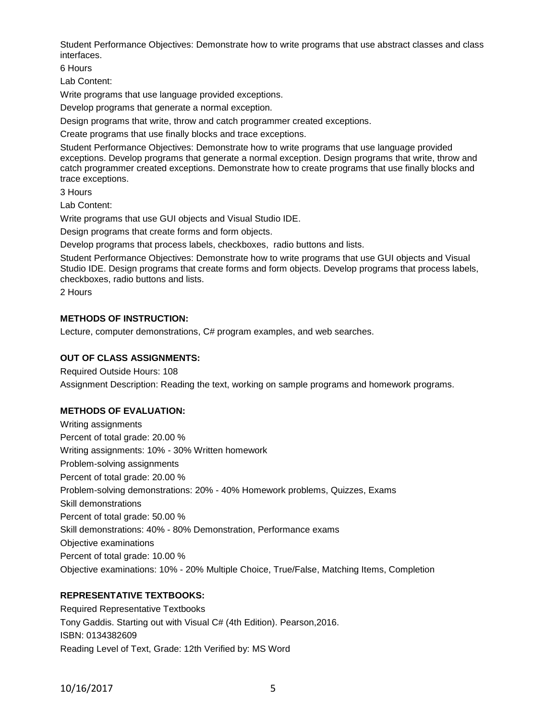Student Performance Objectives: Demonstrate how to write programs that use abstract classes and class interfaces.

6 Hours

Lab Content:

Write programs that use language provided exceptions.

Develop programs that generate a normal exception.

Design programs that write, throw and catch programmer created exceptions.

Create programs that use finally blocks and trace exceptions.

Student Performance Objectives: Demonstrate how to write programs that use language provided exceptions. Develop programs that generate a normal exception. Design programs that write, throw and catch programmer created exceptions. Demonstrate how to create programs that use finally blocks and trace exceptions.

3 Hours

Lab Content:

Write programs that use GUI objects and Visual Studio IDE.

Design programs that create forms and form objects.

Develop programs that process labels, checkboxes, radio buttons and lists.

Student Performance Objectives: Demonstrate how to write programs that use GUI objects and Visual Studio IDE. Design programs that create forms and form objects. Develop programs that process labels, checkboxes, radio buttons and lists.

2 Hours

#### **METHODS OF INSTRUCTION:**

Lecture, computer demonstrations, C# program examples, and web searches.

#### **OUT OF CLASS ASSIGNMENTS:**

Required Outside Hours: 108 Assignment Description: Reading the text, working on sample programs and homework programs.

#### **METHODS OF EVALUATION:**

Writing assignments Percent of total grade: 20.00 % Writing assignments: 10% - 30% Written homework Problem-solving assignments Percent of total grade: 20.00 % Problem-solving demonstrations: 20% - 40% Homework problems, Quizzes, Exams Skill demonstrations Percent of total grade: 50.00 % Skill demonstrations: 40% - 80% Demonstration, Performance exams Objective examinations Percent of total grade: 10.00 % Objective examinations: 10% - 20% Multiple Choice, True/False, Matching Items, Completion

## **REPRESENTATIVE TEXTBOOKS:**

Required Representative Textbooks Tony Gaddis. Starting out with Visual C# (4th Edition). Pearson,2016. ISBN: 0134382609 Reading Level of Text, Grade: 12th Verified by: MS Word